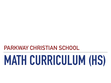## **PARKWAY CHRISTIAN SCHOOL**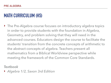‣ The Pre-Algebra course focuses on introductory algebra topics in order to provide students with the foundation in Algebra, Geometry, and problem solving that they will need in the advanced courses. Educators design the course to facilitate the students' transition from the concrete concepts of arithmetic to the abstract concepts of algebra. Teachers present all mathematics from a Biblical Worldview perspective while meeting the framework of the Common Core Standards.

*Textbook*

‣ *Algebra 1/2, Saxon 3rd Edition*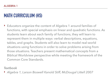‣ Educators organize the content of Algebra 1 around families of functions, with special emphasis on linear and quadratic functions. As students learn about each family of functions, they will learn to represent them in multiple ways: verbal descriptions, equations, tables, and graphs. Students will also learn to model real-world situations using functions in order to solve problems arising from those situations. Teachers present mathematical concepts from a Biblical Worldview perspective while meeting the framework of the Common Core Standards.

### *Textbook*

‣ *Algebra 1, Larson Boswell Kanold Stiff, McDougal Littell 2007*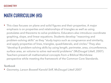‣ This class focuses on plane and solid figures and their properties. A major emphasis is on properties and relationships of triangles as well as using postulates and theorems to solve problems. Educators also introduce coordinate graphing, slope, and linear equations. Students develop "reasoning and problem-solving skills" as they "study topics such as congruence and similarity, and apply properties of lines, triangles, quadrilaterals, and circles." They also "develop 8 problem-solving skills by using length, perimeter, area, circumference, surface area, an volume to solve real-world problems" (McDougal Littell, 2007). Teachers present all mathematical concepts from a Biblical Worldview perspective while meeting the framework of the Common Core Standards.

#### *Textbook*

‣ *Geometry, Larson Boswell Kanold Stiff, McDougal Littell 2007*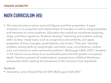‣ This class focuses on plane and solid figures and their properties. A major emphasis is on properties and relationships of triangles as well as using postulates and theorems to solve problems. Educators also introduce coordinate graphing, slope, and linear equations. Students develop "reasoning and problem-solving skills" as they "study topics such as congruence and similarity, and apply properties of lines, triangles, quadrilaterals, and circles." They also "develop problem-solving skills by using length, perimeter, area, circumference, surface area, and volume to solve real-world problems" (McDougal Littell, 2007). Students in the honors course move at an accelerated pace and with greater conceptual depth. Teachers present all mathematical concepts from a Biblical Worldview perspective while meeting the framework of the Common Core Standards.

#### *Textbook*

‣ *Geometry, Larson Boswell Kanold Stiff, McDougal Littell 2007*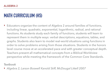‣ Educators organize the content of Algebra 2 around families of functions, including linear, quadratic, exponential, logarithmic, radical, and rational functions. As students study each family of functions, students will learn to represent them in multiple ways: verbal descriptions, equations, tables, and graphs. Students also learn to model real-world situations using functions in order to solve problems arising from those situations. Students in the honors level course move at an accelerated pace and with greater conceptual depth. Teachers present all mathematical concepts from a Biblical Worldview perspective while meeting the framework of the Common Core Standards.

*Textbook*

‣ *Algebra 2, Larson Boswell Kanold Stiff, McDougal Littell 2007*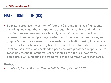‣ Educators organize the content of Algebra 2 around families of functions, including linear, quadratic, exponential, logarithmic, radical, and rational functions. As students study each family of functions, students will learn to represent them in multiple ways: verbal descriptions, equations, tables, and graphs. Students also learn to model real-world situations using functions in order to solve problems arising from those situations. Students in the honors level course move at an accelerated pace and with greater conceptual depth. Teachers present all mathematical concepts from a Biblical Worldview perspective while meeting the framework of the Common Core Standards.

*Textbook* 

‣ *Algebra 2, Larson Boswell Kanold Stiff, McDougal Littell 2007*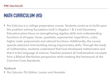▶ Pre-Calculus is a college preparatory course. Students continue to build upon the problem solving foundation built in Algebra 1 & 2 and Geometry. Educators place focus on strengthening algebra skills and understanding functions of all types: linear, quadratic, exponential, logarithmic, cubic, higher order polynomials and rational functions. Additionally, the course spends extensive time building strong trigonometry skills. Through the study of mathematics, students understand that God developed mathematics and that it is the language of science. Teachers present all mathematical concepts from a Biblical Worldview perspective while meeting the framework of the Common Core Standards.

*Textbook* 

‣ *Pre Calculus 7th Edition, Larson and Hostetler*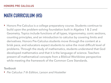‣ Honors Pre-Calculus is a college preparatory course. Students continue to build upon the problem-solving foundation built in Algebra 1 & 2 and Geometry. Topics include functions of all types, trigonometry, conic sections, counting principles, and an introduction to calculus by covering limits and derivatives. Honors Pre-Calculus students move through the content at a brisk pace, and educators expect students to solve the most difficult level of problems. Through the study of mathematics, students understand that God developed mathematics and that it is the language of science. Teachers present all mathematical concepts from a Biblical Worldview perspective while meeting the framework of the Common Core Standards.

*Textbook* 

‣ *Pre Calculus 7 th Edition, Larson and Hostetler*